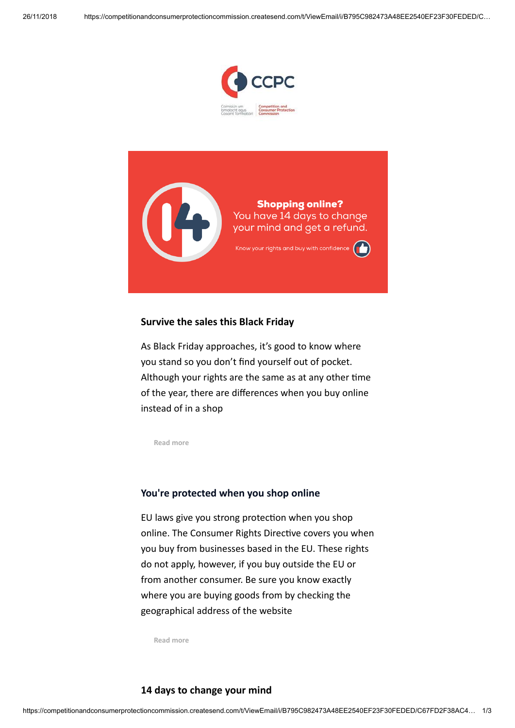



# **Survive the sales this Black Friday**

As Black Friday approaches, it's good to know where you stand so you don't find yourself out of pocket. Although your rights are the same as at any other time of the year, there are differences when you buy online instead of in a shop

**[Read more](https://competitionandconsumerprotectioncommission.createsend1.com/t/i-l-ntilltl-l-y/)**

#### **You're protected when you shop online**

EU laws give you strong protection when you shop online. The Consumer Rights Directive covers you when you buy from businesses based in the EU. These rights do not apply, however, if you buy outside the EU or from another consumer. Be sure you know exactly where you are buying goods from by checking the geographical address of the website

**[Read more](https://competitionandconsumerprotectioncommission.createsend1.com/t/i-l-ntilltl-l-j/)**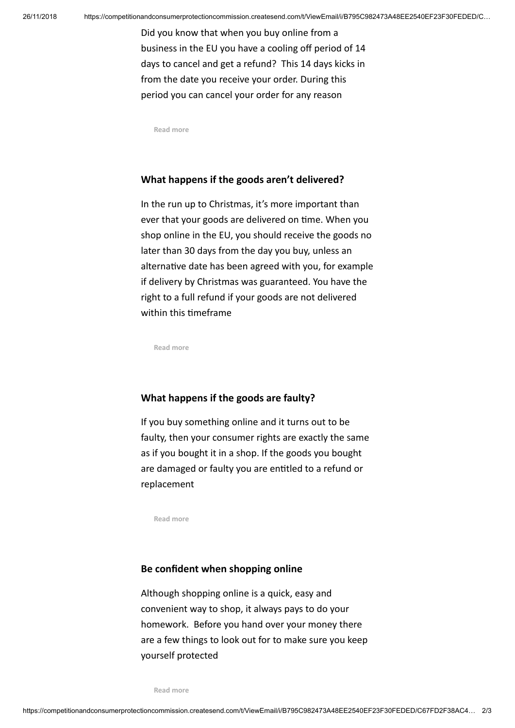Did you know that when you buy online from a business in the EU you have a cooling off period of 14 days to cancel and get a refund? This 14 days kicks in from the date you receive your order. During this period you can cancel your order for any reason

**[Read more](https://competitionandconsumerprotectioncommission.createsend1.com/t/i-l-ntilltl-l-t/)**

## **What happens if the goods aren't delivered?**

In the run up to Christmas, it's more important than ever that your goods are delivered on time. When you shop online in the EU, you should receive the goods no later than 30 days from the day you buy, unless an alternative date has been agreed with you, for example if delivery by Christmas was guaranteed. You have the right to a full refund if your goods are not delivered within this timeframe

**[Read more](https://competitionandconsumerprotectioncommission.createsend1.com/t/i-l-ntilltl-l-i/)**

#### **What happens if the goods are faulty?**

If you buy something online and it turns out to be faulty, then your consumer rights are exactly the same as if you bought it in a shop. If the goods you bought are damaged or faulty you are entitled to a refund or replacement

**[Read more](https://competitionandconsumerprotectioncommission.createsend1.com/t/i-l-ntilltl-l-d/)**

## **Be confident when shopping online**

Although shopping online is a quick, easy and convenient way to shop, it always pays to do your homework. Before you hand over your money there are a few things to look out for to make sure you keep yourself protected

**[Read more](https://competitionandconsumerprotectioncommission.createsend1.com/t/i-l-ntilltl-l-h/)**